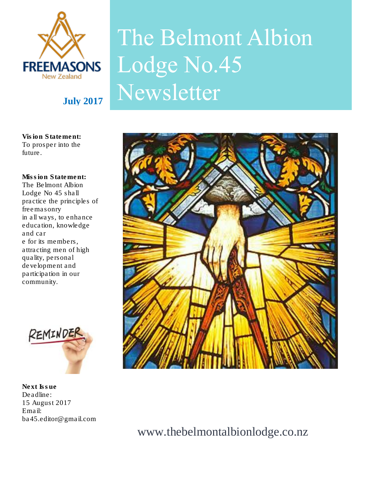

# The Belmont Albion Lodge No.45 July 2017 Newsletter

**Vision Statement: To prosper into the future.**

**Mission Statement: The Belmont Albion Lodge No 45 shall practice the principles of freemasonry in all ways, to enhance education, knowledge and car e for its members, attracting men of high quality, personal development and participation in our community.**



**Next Issue Deadline: 15 August 2017 Email: ba45.editor@gmail.com** 



www.thebelmontalbionlodge.co.nz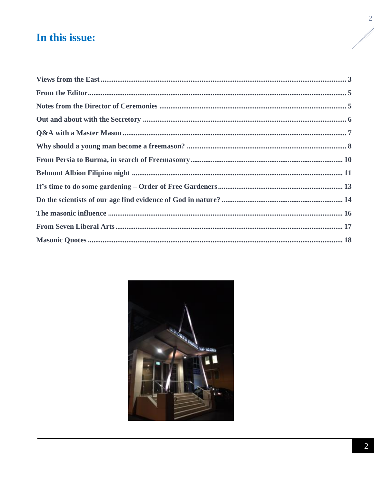# In this issue:

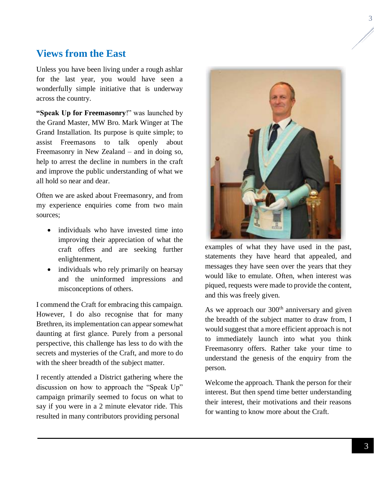## <span id="page-2-0"></span>**Views from the East**

Unless you have been living under a rough ashlar for the last year, you would have seen a wonderfully simple initiative that is underway across the country.

**"Speak Up for Freemasonry**!" was launched by the Grand Master, MW Bro. Mark Winger at The Grand Installation. Its purpose is quite simple; to assist Freemasons to talk openly about Freemasonry in New Zealand – and in doing so, help to arrest the decline in numbers in the craft and improve the public understanding of what we all hold so near and dear.

Often we are asked about Freemasonry, and from my experience enquiries come from two main sources;

- individuals who have invested time into improving their appreciation of what the craft offers and are seeking further enlightenment,
- individuals who rely primarily on hearsay and the uninformed impressions and misconceptions of others.

I commend the Craft for embracing this campaign. However, I do also recognise that for many Brethren, its implementation can appear somewhat daunting at first glance. Purely from a personal perspective, this challenge has less to do with the secrets and mysteries of the Craft, and more to do with the sheer breadth of the subject matter.

I recently attended a District gathering where the discussion on how to approach the "Speak Up" campaign primarily seemed to focus on what to say if you were in a 2 minute elevator ride. This resulted in many contributors providing personal



statements they have heard that appealed, and messages they have seen over the years that they would like to emulate. Often, when interest was piqued, requests were made to provide the content, and this was freely given.

As we approach our  $300<sup>th</sup>$  anniversary and given the breadth of the subject matter to draw from, I would suggest that a more efficient approach is not to immediately launch into what you think Freemasonry offers. Rather take your time to understand the genesis of the enquiry from the person.

Welcome the approach. Thank the person for their interest. But then spend time better understanding their interest, their motivations and their reasons for wanting to know more about the Craft.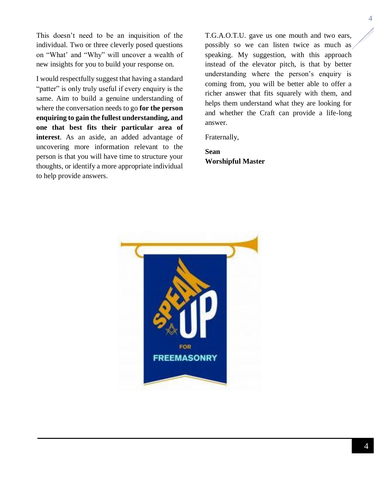This doesn't need to be an inquisition of the individual. Two or three cleverly posed questions on "What' and "Why" will uncover a wealth of new insights for you to build your response on.

I would respectfully suggest that having a standard "patter" is only truly useful if every enquiry is the same. Aim to build a genuine understanding of where the conversation needs to go **for the person enquiring to gain the fullest understanding, and one that best fits their particular area of interest**. As an aside, an added advantage of uncovering more information relevant to the person is that you will have time to structure your thoughts, or identify a more appropriate individual to help provide answers.

T.G.A.O.T.U. gave us one mouth and two ears, possibly so we can listen twice as much as speaking. My suggestion, with this approach instead of the elevator pitch, is that by better understanding where the person's enquiry is coming from, you will be better able to offer a richer answer that fits squarely with them, and helps them understand what they are looking for and whether the Craft can provide a life-long answer.

Fraternally,

**Sean Worshipful Master**

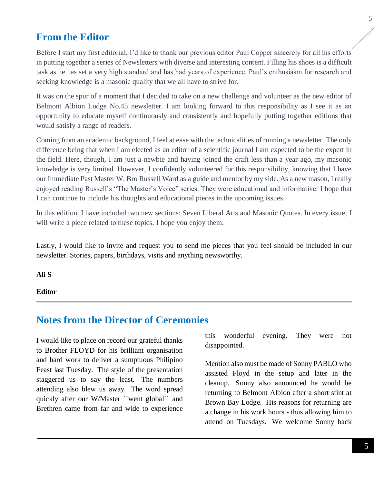## <span id="page-4-0"></span>**From the Editor**

Before I start my first editorial, I'd like to thank our previous editor Paul Copper sincerely for all his efforts in putting together a series of Newsletters with diverse and interesting content. Filling his shoes is a difficult task as he has set a very high standard and has had years of experience. Paul's enthusiasm for research and seeking knowledge is a masonic quality that we all have to strive for.

It was on the spur of a moment that I decided to take on a new challenge and volunteer as the new editor of Belmont Albion Lodge No.45 newsletter. I am looking forward to this responsibility as I see it as an opportunity to educate myself continuously and consistently and hopefully putting together editions that would satisfy a range of readers.

Coming from an academic background, I feel at ease with the technicalities of running a newsletter. The only difference being that when I am elected as an editor of a scientific journal I am expected to be the expert in the field. Here, though, I am just a newbie and having joined the craft less than a year ago, my masonic knowledge is very limited. However, I confidently volunteered for this responsibility, knowing that I have our Immediate Past Master W. Bro Russell Ward as a guide and mentor by my side. As a new mason, I really enjoyed reading Russell's "The Master's Voice" series. They were educational and informative. I hope that I can continue to include his thoughts and educational pieces in the upcoming issues.

In this edition, I have included two new sections: Seven Liberal Arts and Masonic Quotes. In every issue, I will write a piece related to these topics. I hope you enjoy them.

Lastly, I would like to invite and request you to send me pieces that you feel should be included in our newsletter. Stories, papers, birthdays, visits and anything newsworthy.

**Ali S**

#### **Editor**

## <span id="page-4-1"></span>**Notes from the Director of Ceremonies**

I would like to place on record our grateful thanks to Brother FLOYD for his brilliant organisation and hard work to deliver a sumptuous Philipino Feast last Tuesday. The style of the presentation staggered us to say the least. The numbers attending also blew us away. The word spread quickly after our W/Master ``went global`` and Brethren came from far and wide to experience

this wonderful evening. They were not disappointed.

Mention also must be made of Sonny PABLO who assisted Floyd in the setup and later in the cleanup. Sonny also announced he would be returning to Belmont Albion after a short stint at Brown Bay Lodge. His reasons for returning are a change in his work hours - thus allowing him to attend on Tuesdays. We welcome Sonny back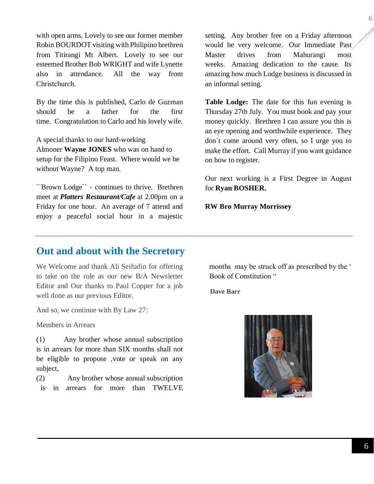with open arms. Lovely to see our former member Robin BOURDOT visiting with Philipino brethren from Titirangi Mt Albert. Lovely to see our esteemed Brother Bob WRIGHT and wife Lynette also in attendance. All the way from Christchurch.

By the time this is published, Carlo de Guzman should be a father for the first time. Congratulation to Carlo and his lovely wife.

A special thanks to our hard-working Almoner **Wayne JONES** who was on hand to setup for the Filipino Feast. Where would we be without Wayne? A top man.

``Brown Lodge`` - continues to thrive. Brethren meet at *Platters Restaurant/Cafe* at 2.00pm on a Friday for one hour. An average of 7 attend and enjoy a peaceful social hour in a majestic

setting. Any brother free on a Friday afternoon would be very welcome. Our Immediate Past Master drives from Mahurangi most weeks. Amazing dedication to the cause. Its amazing how much Lodge business is discussed in an informal setting.

**Table Lodge:** The date for this fun evening is Thursday 27th July. You must book and pay your money quickly. Brethren I can assure you this is an eye opening and worthwhile experience. They don`t come around very often, so I urge you to make the effort. Call Murray if you want guidance on how to register.

Our next working is a First Degree in August for **Ryan BOSHER.** 

**RW Bro Murray Morrissey** 

## <span id="page-5-0"></span>**Out and about with the Secretory**

We Welcome and thank Ali Seifudin for offering to take on the role as our new B/A Newsletter Editor and Our thanks to Paul Copper for a job well done as our previous Editor.

And so, we continue with By Law 27:

Members in Arrears

(1) Any brother whose annual subscription is in arrears for more than SIX months shall not be eligible to propose ,vote or speak on any subject,

(2) Any brother whose annual subscription is in arrears for more than TWELVE months may be struck off as prescribed by the ' Book of Constitution "

 **Dave Barr**

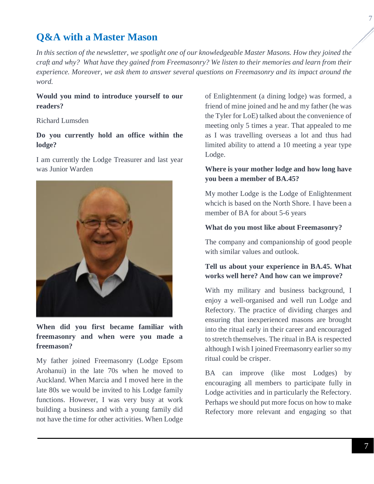## <span id="page-6-0"></span>**Q&A with a Master Mason**

*In this section of the newsletter, we spotlight one of our knowledgeable Master Masons. How they joined the craft and why? What have they gained from Freemasonry? We listen to their memories and learn from their experience. Moreover, we ask them to answer several questions on Freemasonry and its impact around the word.* 

#### **Would you mind to introduce yourself to our readers?**

#### Richard Lumsden

#### **Do you currently hold an office within the lodge?**

I am currently the Lodge Treasurer and last year was Junior Warden



**When did you first became familiar with freemasonry and when were you made a freemason?**

My father joined Freemasonry (Lodge Epsom Arohanui) in the late 70s when he moved to Auckland. When Marcia and I moved here in the late 80s we would be invited to his Lodge family functions. However, I was very busy at work building a business and with a young family did not have the time for other activities. When Lodge

of Enlightenment (a dining lodge) was formed, a friend of mine joined and he and my father (he was the Tyler for LoE) talked about the convenience of meeting only 5 times a year. That appealed to me as I was travelling overseas a lot and thus had limited ability to attend a 10 meeting a year type Lodge.

#### **Where is your mother lodge and how long have you been a member of BA.45?**

My mother Lodge is the Lodge of Enlightenment whcich is based on the North Shore. I have been a member of BA for about 5-6 years

#### **What do you most like about Freemasonry?**

The company and companionship of good people with similar values and outlook.

#### **Tell us about your experience in BA.45. What works well here? And how can we improve?**

With my military and business background, I enjoy a well-organised and well run Lodge and Refectory. The practice of dividing charges and ensuring that inexperienced masons are brought into the ritual early in their career and encouraged to stretch themselves. The ritual in BA is respected although I wish I joined Freemasonry earlier so my ritual could be crisper.

BA can improve (like most Lodges) by encouraging all members to participate fully in Lodge activities and in particularly the Refectory. Perhaps we should put more focus on how to make Refectory more relevant and engaging so that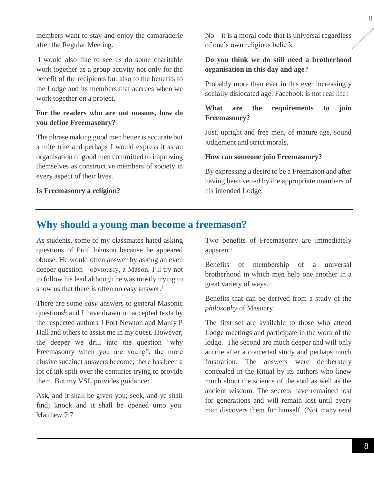members want to stay and enjoy the camaraderie after the Regular Meeting.

I would also like to see us do some charitable work together as a group activity not only for the benefit of the recipients but also to the benefits to the Lodge and its members that accrues when we work together on a project.

#### **For the readers who are not masons, how do you define Freemasonry?**

The phrase making good men better is accurate but a mite trite and perhaps I would express it as an organisation of good men committed to improving themselves as constructive members of society in every aspect of their lives.

#### **Is Freemasonry a religion?**

 $No - it$  is a moral code that is universal regardless of one's own religious beliefs.

#### **Do you think we do still need a brotherhood organisation in this day and age?**

Probably more than ever in this ever increasingly socially dislocated age. Facebook is not real life!

#### **What are the requirements to join Freemasonry?**

Just, upright and free men, of mature age, sound judgement and strict morals.

#### **How can someone join Freemasonry?**

By expressing a desire to be a Freemason and after having been vetted by the appropriate members of his intended Lodge.

## <span id="page-7-0"></span>**Why should a young man become a freemason?**

As students, some of my classmates hated asking questions of Prof Johnson because he appeared obtuse. He would often answer by asking an even deeper question - obviously, a Mason. I'll try not to follow his lead although he was mostly trying to show us that there is often no easy answer.<sup>i</sup>

There are some *easy* answers to general Masonic questions<sup>ii</sup> and I have drawn on accepted texts by the respected authors J Fort Newton and Manly P Hall and others to assist me in my quest. However, the deeper we drill into the question "why Freemasonry when you are young", the more elusive succinct answers become; there has been a lot of ink spilt over the centuries trying to provide them. But my VSL provides guidance:

Ask, and it shall be given you; seek, and ye shall find; knock and it shall be opened unto you. Matthew 7:7

Two benefits of Freemasonry are immediately apparent:

Benefits of membership of a universal brotherhood in which men help one another in a great variety of ways.

Benefits that can be derived from a study of the *philosophy* of Masonry.

The first set are available to those who attend Lodge meetings and participate in the work of the lodge. The second are much deeper and will only accrue after a concerted study and perhaps much frustration. The answers were deliberately concealed in the Ritual by its authors who knew much about the science of the soul as well as the ancient wisdom. The secrets have remained lost for generations and will remain lost until every man discovers them for himself. (Not many read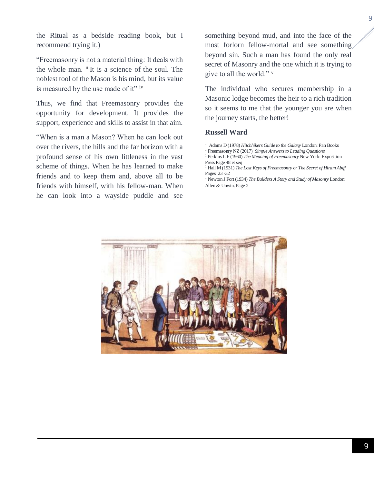the Ritual as a bedside reading book, but I recommend trying it.)

"Freemasonry is not a material thing: It deals with the whole man. <sup>iii</sup>It is a science of the soul. The noblest tool of the Mason is his mind, but its value is measured by the use made of it" iv

Thus, we find that Freemasonry provides the opportunity for development. It provides the support, experience and skills to assist in that aim.

"When is a man a Mason? When he can look out over the rivers, the hills and the far horizon with a profound sense of his own littleness in the vast scheme of things. When he has learned to make friends and to keep them and, above all to be friends with himself, with his fellow-man. When he can look into a wayside puddle and see

something beyond mud, and into the face of the most forlorn fellow-mortal and see something beyond sin. Such a man has found the only real secret of Masonry and the one which it is trying to give to all the world." <sup>v</sup>

The individual who secures membership in a Masonic lodge becomes the heir to a rich tradition so it seems to me that the younger you are when the journey starts, the better!

#### **Russell Ward**



<sup>&</sup>lt;sup>1</sup> Adams D (1978) *Hitchhikers Guide to the Galaxy* London: Pan Books

<sup>1</sup> Freemasonry NZ (2017) *Simple Answers to Leading Questions*

<sup>1</sup> Perkins L F (1960) *The Meaning of Freemasonry* New York: Exposition Press Page 48 et seq

<sup>&</sup>lt;sup>1</sup> Hall M (1931) *The Lost Keys of Freemasonry or The Secret of Hiram Abiff* Pages 23 -32

<sup>1</sup> Newton J Fort (1934) *The Builders A Story and Study of Masonry* London: Allen & Unwin. Page 2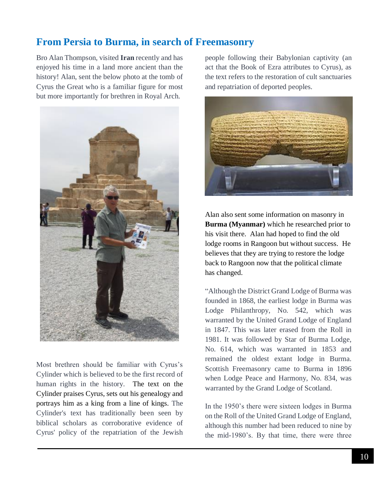## <span id="page-9-0"></span>**From Persia to Burma, in search of Freemasonry**

Bro Alan Thompson, visited **Iran** recently and has enjoyed his time in a land more ancient than the history! Alan, sent the below photo at the tomb of Cyrus the Great who is a familiar figure for most but more importantly for brethren in Royal Arch.



Most brethren should be familiar with Cyrus's Cylinder which is believed to be the first record of human rights in the history. The text on the Cylinder praises Cyrus, sets out his genealogy and portrays him as a king from a line of kings. The Cylinder's text has traditionally been seen by biblical scholars as corroborative evidence of Cyrus' policy of the repatriation of the Jewish

people following their Babylonian captivity (an act that the Book of Ezra attributes to Cyrus), as the text refers to the restoration of cult sanctuaries and repatriation of deported peoples.



Alan also sent some information on masonry in **Burma (Myanmar)** which he researched prior to his visit there. Alan had hoped to find the old lodge rooms in Rangoon but without success. He believes that they are trying to restore the lodge back to Rangoon now that the political climate has changed.

"Although the District Grand Lodge of Burma was founded in 1868, the earliest lodge in Burma was Lodge Philanthropy, No. 542, which was warranted by the United Grand Lodge of England in 1847. This was later erased from the Roll in 1981. It was followed by Star of Burma Lodge, No. 614, which was warranted in 1853 and remained the oldest extant lodge in Burma. Scottish Freemasonry came to Burma in 1896 when Lodge Peace and Harmony, No. 834, was warranted by the Grand Lodge of Scotland.

In the 1950's there were sixteen lodges in Burma on the Roll of the United Grand Lodge of England, although this number had been reduced to nine by the mid-1980's. By that time, there were three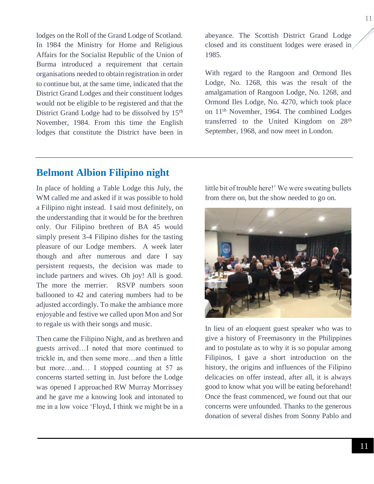lodges on the Roll of the Grand Lodge of Scotland. In 1984 the Ministry for Home and Religious Affairs for the Socialist Republic of the Union of Burma introduced a requirement that certain organisations needed to obtain registration in order to continue but, at the same time, indicated that the District Grand Lodges and their constituent lodges would not be eligible to be registered and that the District Grand Lodge had to be dissolved by 15<sup>th</sup> November, 1984. From this time the English lodges that constitute the District have been in abeyance. The Scottish District Grand Lodge closed and its constituent lodges were erased in 1985.

With regard to the Rangoon and Ormond Iles Lodge, No. 1268, this was the result of the amalgamation of Rangoon Lodge, No. 1268, and Ormond Iles Lodge, No. 4270, which took place on 11th November, 1964. The combined Lodges transferred to the United Kingdom on 28th September, 1968, and now meet in London.

## <span id="page-10-0"></span>**Belmont Albion Filipino night**

In place of holding a Table Lodge this July, the WM called me and asked if it was possible to hold a Filipino night instead. I said most definitely, on the understanding that it would be for the brethren only. Our Filipino brethren of BA 45 would simply present 3-4 Filipino dishes for the tasting pleasure of our Lodge members. A week later though and after numerous and dare I say persistent requests, the decision was made to include partners and wives. Oh joy! All is good. The more the merrier. RSVP numbers soon ballooned to 42 and catering numbers had to be adjusted accordingly. To make the ambiance more enjoyable and festive we called upon Mon and Sor to regale us with their songs and music.

Then came the Filipino Night, and as brethren and guests arrived…I noted that more continued to trickle in, and then some more…and then a little but more…and… I stopped counting at 57 as concerns started setting in. Just before the Lodge was opened I approached RW Murray Morrissey and he gave me a knowing look and intonated to me in a low voice 'Floyd, I think we might be in a little bit of trouble here!' We were sweating bullets from there on, but the show needed to go on.



In lieu of an eloquent guest speaker who was to give a history of Freemasonry in the Philippines and to postulate as to why it is so popular among Filipinos, I gave a short introduction on the history, the origins and influences of the Filipino delicacies on offer instead, after all, it is always good to know what you will be eating beforehand! Once the feast commenced, we found out that our concerns were unfounded. Thanks to the generous donation of several dishes from Sonny Pablo and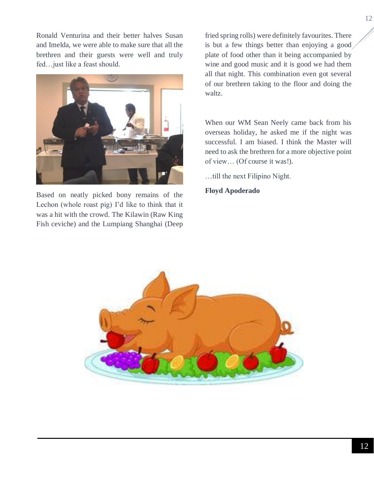Ronald Venturina and their better halves Susan and Imelda, we were able to make sure that all the brethren and their guests were well and truly fed…just like a feast should.



Based on neatly picked bony remains of the Lechon (whole roast pig) I'd like to think that it was a hit with the crowd. The Kilawin (Raw King Fish ceviche) and the Lumpiang Shanghai (Deep fried spring rolls) were definitely favourites. There is but a few things better than enjoying a good plate of food other than it being accompanied by wine and good music and it is good we had them all that night. This combination even got several of our brethren taking to the floor and doing the waltz.

When our WM Sean Neely came back from his overseas holiday, he asked me if the night was successful. I am biased. I think the Master will need to ask the brethren for a more objective point of view… (Of course it was!).

…till the next Filipino Night.

**Floyd Apoderado**

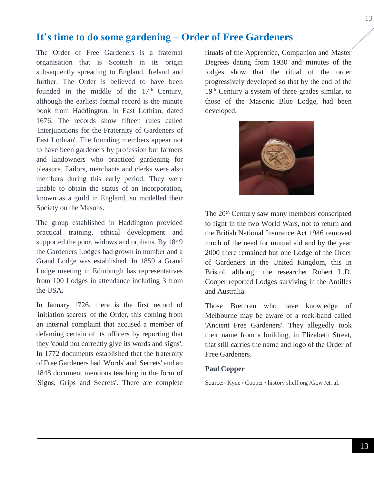## <span id="page-12-0"></span>**It's time to do some gardening – Order of Free Gardeners**

The Order of Free Gardeners is a fraternal organisation that is Scottish in its origin subsequently spreading to England, Ireland and further. The Order is believed to have been founded in the middle of the  $17<sup>th</sup>$  Century, although the earliest formal record is the minute book from Haddington, in East Lothian, dated 1676. The records show fifteen rules called 'Interjunctions for the Fraternity of Gardeners of East Lothian'. The founding members appear not to have been gardeners by profession but farmers and landowners who practiced gardening for pleasure. Tailors, merchants and clerks were also members during this early period. They were unable to obtain the status of an incorporation, known as a guild in England, so modelled their Society on the Masons.

The group established in Haddington provided practical training, ethical development and supported the poor, widows and orphans. By 1849 the Gardeners Lodges had grown in number and a Grand Lodge was established. In 1859 a Grand Lodge meeting in Edinburgh has representatives from 100 Lodges in attendance including 3 from the USA.

In January 1726, there is the first record of 'initiation secrets' of the Order, this coming from an internal complaint that accused a member of defaming certain of its officers by reporting that they 'could not correctly give its words and signs'. In 1772 documents established that the fraternity of Free Gardeners had 'Words' and 'Secrets' and an 1848 document mentions teaching in the form of 'Signs, Grips and Secrets'. There are complete

rituals of the Apprentice, Companion and Master Degrees dating from 1930 and minutes of the lodges show that the ritual of the order progressively developed so that by the end of the 19th Century a system of three grades similar, to those of the Masonic Blue Lodge, had been developed.



The 20<sup>th</sup> Century saw many members conscripted to fight in the two World Wars, not to return and the British National Insurance Act 1946 removed much of the need for mutual aid and by the year 2000 there remained but one Lodge of the Order of Gardeners in the United Kingdom, this in Bristol, although the researcher Robert L.D. Cooper reported Lodges surviving in the Antilles and Australia.

Those Brethren who have knowledge of Melbourne may be aware of a rock-band called 'Ancient Free Gardeners'. They allegedly took their name from a building, in Elizabeth Street, that still carries the name and logo of the Order of Free Gardeners.

#### **Paul Copper**

Source:- Kyne / Cooper / history shelf.org /Gow /et. al.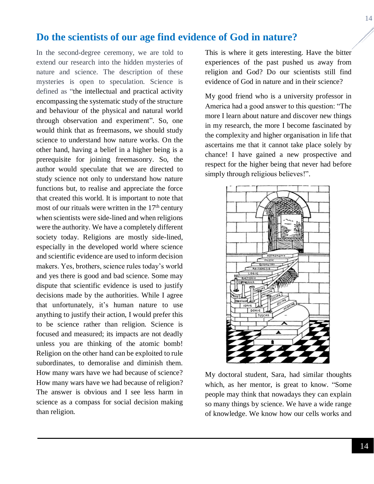## <span id="page-13-0"></span>**Do the scientists of our age find evidence of God in nature?**

In the second-degree ceremony, we are told to extend our research into the hidden mysteries of nature and science. The description of these mysteries is open to speculation. Science is defined as "the intellectual and practical activity encompassing the systematic study of the structure and behaviour of the physical and natural world through observation and experiment". So, one would think that as freemasons, we should study science to understand how nature works. On the other hand, having a belief in a higher being is a prerequisite for joining freemasonry. So, the author would speculate that we are directed to study science not only to understand how nature functions but, to realise and appreciate the force that created this world. It is important to note that most of our rituals were written in the  $17<sup>th</sup>$  century when scientists were side-lined and when religions were the authority. We have a completely different society today. Religions are mostly side-lined, especially in the developed world where science and scientific evidence are used to inform decision makers. Yes, brothers, science rules today's world and yes there is good and bad science. Some may dispute that scientific evidence is used to justify decisions made by the authorities. While I agree that unfortunately, it's human nature to use anything to justify their action, I would prefer this to be science rather than religion. Science is focused and measured; its impacts are not deadly unless you are thinking of the atomic bomb! Religion on the other hand can be exploited to rule subordinates, to demoralise and diminish them. How many wars have we had because of science? How many wars have we had because of religion? The answer is obvious and I see less harm in science as a compass for social decision making than religion.

This is where it gets interesting. Have the bitter experiences of the past pushed us away from religion and God? Do our scientists still find evidence of God in nature and in their science?

My good friend who is a university professor in America had a good answer to this question: "The more I learn about nature and discover new things in my research, the more I become fascinated by the complexity and higher organisation in life that ascertains me that it cannot take place solely by chance! I have gained a new prospective and respect for the higher being that never had before simply through religious believes!".



My doctoral student, Sara, had similar thoughts which, as her mentor, is great to know. "Some people may think that nowadays they can explain so many things by science. We have a wide range of knowledge. We know how our cells works and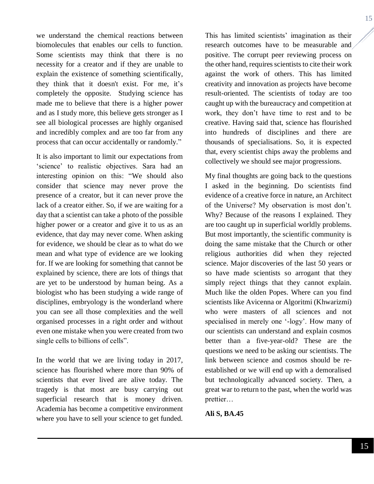we understand the chemical reactions between biomolecules that enables our cells to function. Some scientists may think that there is no necessity for a creator and if they are unable to explain the existence of something scientifically, they think that it doesn't exist. For me, it's completely the opposite. Studying science has made me to believe that there is a higher power and as I study more, this believe gets stronger as I see all biological processes are highly organised and incredibly complex and are too far from any process that can occur accidentally or randomly."

It is also important to limit our expectations from 'science' to realistic objectives. Sara had an interesting opinion on this: "We should also consider that science may never prove the presence of a creator, but it can never prove the lack of a creator either. So, if we are waiting for a day that a scientist can take a photo of the possible higher power or a creator and give it to us as an evidence, that day may never come. When asking for evidence, we should be clear as to what do we mean and what type of evidence are we looking for. If we are looking for something that cannot be explained by science, there are lots of things that are yet to be understood by human being. As a biologist who has been studying a wide range of disciplines, embryology is the wonderland where you can see all those complexities and the well organised processes in a right order and without even one mistake when you were created from two single cells to billions of cells".

In the world that we are living today in 2017, science has flourished where more than 90% of scientists that ever lived are alive today. The tragedy is that most are busy carrying out superficial research that is money driven. Academia has become a competitive environment where you have to sell your science to get funded.

This has limited scientists' imagination as their research outcomes have to be measurable and positive. The corrupt peer reviewing process on the other hand, requires scientists to cite their work against the work of others. This has limited creativity and innovation as projects have become result-oriented. The scientists of today are too caught up with the bureaucracy and competition at work, they don't have time to rest and to be creative. Having said that, science has flourished into hundreds of disciplines and there are thousands of specialisations. So, it is expected that, every scientist chips away the problems and collectively we should see major progressions.

My final thoughts are going back to the questions I asked in the beginning. Do scientists find evidence of a creative force in nature, an Architect of the Universe? My observation is most don't. Why? Because of the reasons I explained. They are too caught up in superficial worldly problems. But most importantly, the scientific community is doing the same mistake that the Church or other religious authorities did when they rejected science. Major discoveries of the last 50 years or so have made scientists so arrogant that they simply reject things that they cannot explain. Much like the olden Popes. Where can you find scientists like Avicenna or Algoritmi (Khwarizmi) who were masters of all sciences and not specialised in merely one '-logy'. How many of our scientists can understand and explain cosmos better than a five-year-old? These are the questions we need to be asking our scientists. The link between science and cosmos should be reestablished or we will end up with a demoralised but technologically advanced society. Then, a great war to return to the past, when the world was prettier…

**Ali S, BA.45**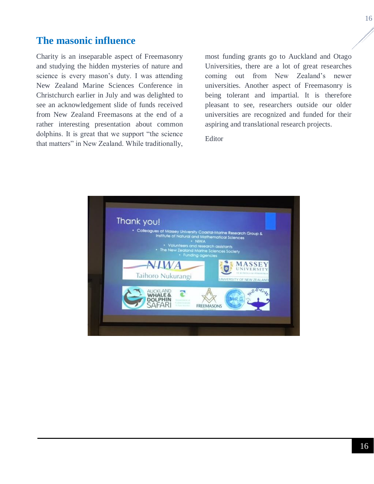## <span id="page-15-0"></span>**The masonic influence**

Charity is an inseparable aspect of Freemasonry and studying the hidden mysteries of nature and science is every mason's duty. I was attending New Zealand Marine Sciences Conference in Christchurch earlier in July and was delighted to see an acknowledgement slide of funds received from New Zealand Freemasons at the end of a rather interesting presentation about common dolphins. It is great that we support "the science that matters" in New Zealand. While traditionally,

most funding grants go to Auckland and Otago Universities, there are a lot of great researches coming out from New Zealand's newer universities. Another aspect of Freemasonry is being tolerant and impartial. It is therefore pleasant to see, researchers outside our older universities are recognized and funded for their aspiring and translational research projects.

Editor

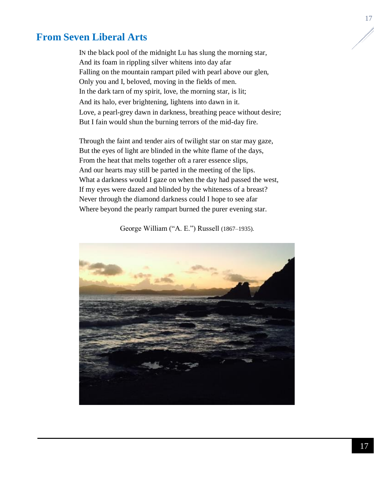## <span id="page-16-0"></span>**From Seven Liberal Arts**

IN the black pool of the midnight Lu has slung the morning star, And its foam in rippling silver whitens into day afar Falling on the mountain rampart piled with pearl above our glen, Only you and I, beloved, moving in the fields of men. In the dark tarn of my spirit, love, the morning star, is lit; And its halo, ever brightening, lightens into dawn in it. Love, a pearl-grey dawn in darkness, breathing peace without desire; But I fain would shun the burning terrors of the mid-day fire.

Through the faint and tender airs of twilight star on star may gaze, But the eyes of light are blinded in the white flame of the days, From the heat that melts together oft a rarer essence slips, And our hearts may still be parted in the meeting of the lips. What a darkness would I gaze on when the day had passed the west, If my eyes were dazed and blinded by the whiteness of a breast? Never through the diamond darkness could I hope to see afar Where beyond the pearly rampart burned the purer evening star.

George William ("A. E.") Russell (1867–1935).